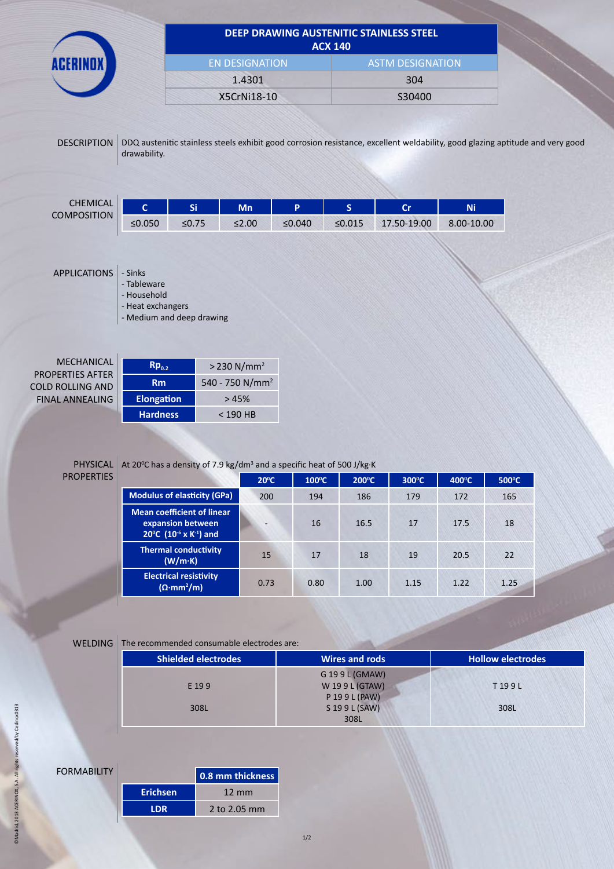|                                                                                            |                                                                                         |                       |                                                                  |        | <b>ACX 140</b>          | DEEP DRAWING AUSTENITIC STAINLESS STEEL                                                                                       |            |
|--------------------------------------------------------------------------------------------|-----------------------------------------------------------------------------------------|-----------------------|------------------------------------------------------------------|--------|-------------------------|-------------------------------------------------------------------------------------------------------------------------------|------------|
|                                                                                            |                                                                                         | <b>EN DESIGNATION</b> |                                                                  |        | <b>ASTM DESIGNATION</b> |                                                                                                                               |            |
|                                                                                            |                                                                                         |                       | 1.4301                                                           |        | 304                     |                                                                                                                               |            |
|                                                                                            |                                                                                         |                       | X5CrNi18-10                                                      |        |                         | S30400                                                                                                                        |            |
| <b>DESCRIPTION</b>                                                                         | drawability.                                                                            |                       |                                                                  |        |                         | DDQ austenitic stainless steels exhibit good corrosion resistance, excellent weldability, good glazing aptitude and very good |            |
| <b>CHEMICAL</b>                                                                            | $\mathbf{C}$                                                                            | Si                    | <b>Mn</b>                                                        | P      | $\mathsf{S}$            | <b>Cr</b>                                                                                                                     | Ni         |
| <b>COMPOSITION</b>                                                                         | ≤ $0.050$                                                                               | $≤0.75$               | $≤2.00$                                                          | ≤0.040 | ≤0.015                  | 17.50-19.00                                                                                                                   | 8.00-10.00 |
| <b>APPLICATIONS</b>                                                                        | - Sinks<br>- Tableware<br>- Household<br>- Heat exchangers<br>- Medium and deep drawing |                       |                                                                  |        |                         |                                                                                                                               |            |
| MECHANICAL<br><b>PROPERTIES AFTER</b><br><b>COLD ROLLING AND</b><br><b>FINAL ANNEALING</b> | $Rp_{0.2}$<br><b>Rm</b><br><b>Elongation</b>                                            |                       | $>$ 230 N/mm <sup>2</sup><br>540 - 750 N/mm <sup>2</sup><br>>45% |        |                         |                                                                                                                               |            |
|                                                                                            | <b>Hardness</b>                                                                         |                       | $< 190$ HB                                                       |        |                         |                                                                                                                               |            |

# PROPERTIES

## PHYSICAL At 20<sup>°</sup>C has a density of 7.9 kg/dm<sup>3</sup> and a specific heat of 500 J/kg·K

|                                                                                                          | $20^{\circ}$ C | $100^{\circ}$ C | $200^{\circ}$ C | 300°C | $400^{\circ}$ C | 500°C |
|----------------------------------------------------------------------------------------------------------|----------------|-----------------|-----------------|-------|-----------------|-------|
| <b>Modulus of elasticity (GPa)</b>                                                                       | 200            | 194             | 186             | 179   | 172             | 165   |
| <b>Mean coefficient of linear</b><br>expansion between<br>20°C (10 <sup>-6</sup> x K <sup>-1</sup> ) and | -              | 16              | 16.5            | 17    | 17.5            | 18    |
| <b>Thermal conductivity</b><br>(W/m·K)                                                                   | 15             | 17              | 18              | 19    | 20.5            | 22    |
| <b>Electrical resistivity</b><br>$(\Omega \cdot mm^2/m)$                                                 | 0.73           | 0.80            | 1.00            | 1.15  | 1.22            | 1.25  |

## WELDING The recommended consumable electrodes are:

| <b>Shielded electrodes</b> | Wires and rods | <b>Hollow electrodes</b> |
|----------------------------|----------------|--------------------------|
|                            | G 199 L (GMAW) |                          |
| E 199                      | W 199L (GTAW)  | T199L                    |
|                            | P 19 9 L (PAW) |                          |
| 308L                       | S 19 9 L (SAW) | 308L                     |
|                            | 308L           |                          |
|                            |                |                          |

# **FORMABILITY**

|                 | 0.8 mm thickness |
|-----------------|------------------|
| <b>Erichsen</b> | $12 \text{ mm}$  |
| I DR.           | 2 to 2.05 mm     |